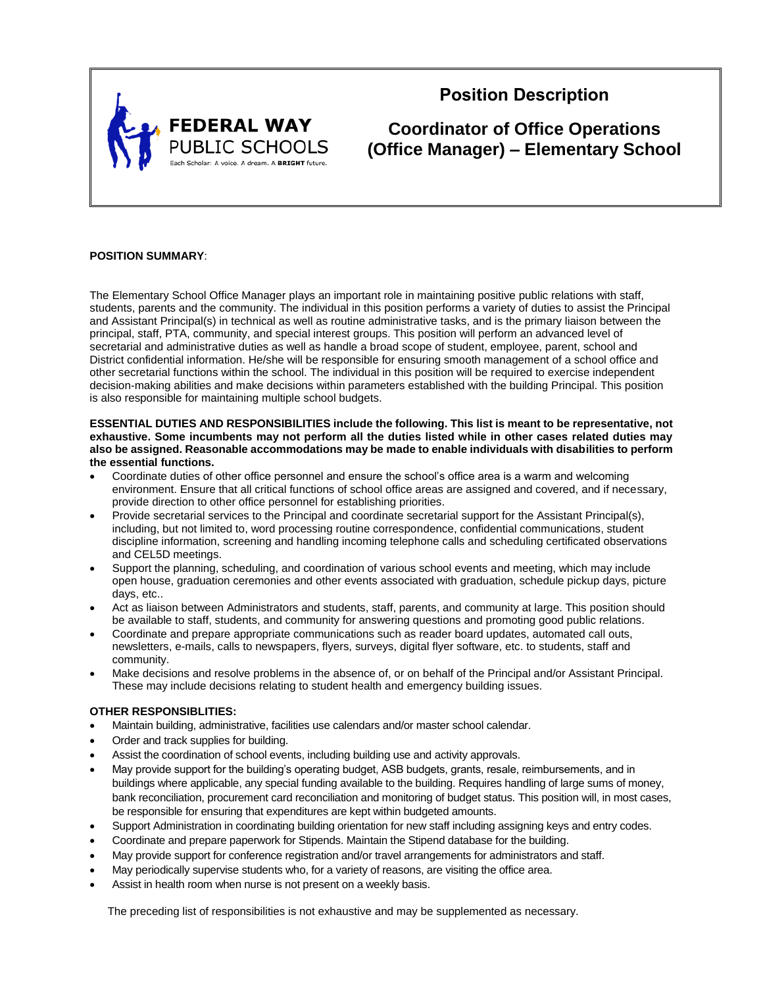

# **Position Description**

**Coordinator of Office Operations (Office Manager) – Elementary School**

## **POSITION SUMMARY**:

The Elementary School Office Manager plays an important role in maintaining positive public relations with staff, students, parents and the community. The individual in this position performs a variety of duties to assist the Principal and Assistant Principal(s) in technical as well as routine administrative tasks, and is the primary liaison between the principal, staff, PTA, community, and special interest groups. This position will perform an advanced level of secretarial and administrative duties as well as handle a broad scope of student, employee, parent, school and District confidential information. He/she will be responsible for ensuring smooth management of a school office and other secretarial functions within the school. The individual in this position will be required to exercise independent decision-making abilities and make decisions within parameters established with the building Principal. This position is also responsible for maintaining multiple school budgets.

### **ESSENTIAL DUTIES AND RESPONSIBILITIES include the following. This list is meant to be representative, not exhaustive. Some incumbents may not perform all the duties listed while in other cases related duties may also be assigned. Reasonable accommodations may be made to enable individuals with disabilities to perform the essential functions.**

- Coordinate duties of other office personnel and ensure the school's office area is a warm and welcoming environment. Ensure that all critical functions of school office areas are assigned and covered, and if necessary, provide direction to other office personnel for establishing priorities.
- Provide secretarial services to the Principal and coordinate secretarial support for the Assistant Principal(s), including, but not limited to, word processing routine correspondence, confidential communications, student discipline information, screening and handling incoming telephone calls and scheduling certificated observations and CEL5D meetings.
- Support the planning, scheduling, and coordination of various school events and meeting, which may include open house, graduation ceremonies and other events associated with graduation, schedule pickup days, picture days, etc..
- Act as liaison between Administrators and students, staff, parents, and community at large. This position should be available to staff, students, and community for answering questions and promoting good public relations.
- Coordinate and prepare appropriate communications such as reader board updates, automated call outs, newsletters, e-mails, calls to newspapers, flyers, surveys, digital flyer software, etc. to students, staff and community.
- Make decisions and resolve problems in the absence of, or on behalf of the Principal and/or Assistant Principal. These may include decisions relating to student health and emergency building issues.

## **OTHER RESPONSIBLITIES:**

- Maintain building, administrative, facilities use calendars and/or master school calendar.
- Order and track supplies for building.
- Assist the coordination of school events, including building use and activity approvals.
- May provide support for the building's operating budget, ASB budgets, grants, resale, reimbursements, and in buildings where applicable, any special funding available to the building. Requires handling of large sums of money, bank reconciliation, procurement card reconciliation and monitoring of budget status. This position will, in most cases, be responsible for ensuring that expenditures are kept within budgeted amounts.
- Support Administration in coordinating building orientation for new staff including assigning keys and entry codes.
- Coordinate and prepare paperwork for Stipends. Maintain the Stipend database for the building.
- May provide support for conference registration and/or travel arrangements for administrators and staff.
- May periodically supervise students who, for a variety of reasons, are visiting the office area.
- Assist in health room when nurse is not present on a weekly basis.

The preceding list of responsibilities is not exhaustive and may be supplemented as necessary.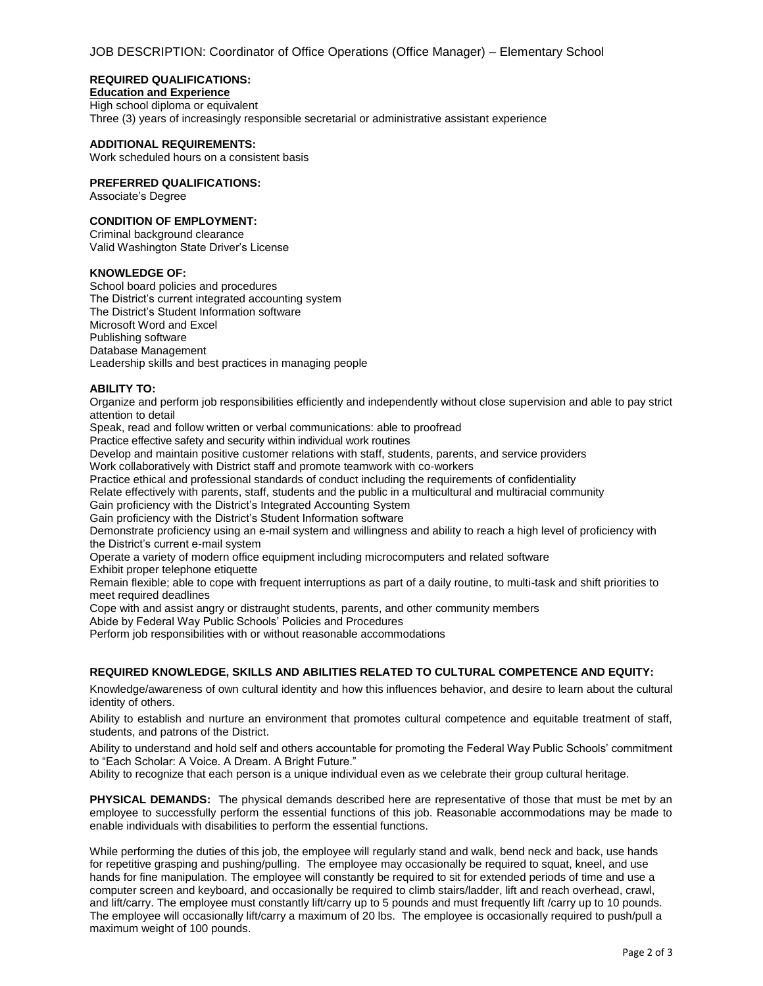## **REQUIRED QUALIFICATIONS:**

**Education and Experience** High school diploma or equivalent

Three (3) years of increasingly responsible secretarial or administrative assistant experience

### **ADDITIONAL REQUIREMENTS:**

Work scheduled hours on a consistent basis

## **PREFERRED QUALIFICATIONS:**

Associate's Degree

# **CONDITION OF EMPLOYMENT:**

Criminal background clearance Valid Washington State Driver's License

## **KNOWLEDGE OF:**

School board policies and procedures The District's current integrated accounting system The District's Student Information software Microsoft Word and Excel Publishing software Database Management Leadership skills and best practices in managing people

### **ABILITY TO:**

Organize and perform job responsibilities efficiently and independently without close supervision and able to pay strict attention to detail

Speak, read and follow written or verbal communications: able to proofread

Practice effective safety and security within individual work routines

Develop and maintain positive customer relations with staff, students, parents, and service providers

Work collaboratively with District staff and promote teamwork with co-workers

Practice ethical and professional standards of conduct including the requirements of confidentiality

Relate effectively with parents, staff, students and the public in a multicultural and multiracial community

Gain proficiency with the District's Integrated Accounting System

Gain proficiency with the District's Student Information software

Demonstrate proficiency using an e-mail system and willingness and ability to reach a high level of proficiency with the District's current e-mail system

Operate a variety of modern office equipment including microcomputers and related software

Exhibit proper telephone etiquette

Remain flexible; able to cope with frequent interruptions as part of a daily routine, to multi-task and shift priorities to meet required deadlines

Cope with and assist angry or distraught students, parents, and other community members

Abide by Federal Way Public Schools' Policies and Procedures

Perform job responsibilities with or without reasonable accommodations

# **REQUIRED KNOWLEDGE, SKILLS AND ABILITIES RELATED TO CULTURAL COMPETENCE AND EQUITY:**

Knowledge/awareness of own cultural identity and how this influences behavior, and desire to learn about the cultural identity of others.

Ability to establish and nurture an environment that promotes cultural competence and equitable treatment of staff, students, and patrons of the District.

Ability to understand and hold self and others accountable for promoting the Federal Way Public Schools' commitment to "Each Scholar: A Voice. A Dream. A Bright Future."

Ability to recognize that each person is a unique individual even as we celebrate their group cultural heritage.

**PHYSICAL DEMANDS:** The physical demands described here are representative of those that must be met by an employee to successfully perform the essential functions of this job. Reasonable accommodations may be made to enable individuals with disabilities to perform the essential functions.

While performing the duties of this job, the employee will regularly stand and walk, bend neck and back, use hands for repetitive grasping and pushing/pulling. The employee may occasionally be required to squat, kneel, and use hands for fine manipulation. The employee will constantly be required to sit for extended periods of time and use a computer screen and keyboard, and occasionally be required to climb stairs/ladder, lift and reach overhead, crawl, and lift/carry. The employee must constantly lift/carry up to 5 pounds and must frequently lift /carry up to 10 pounds. The employee will occasionally lift/carry a maximum of 20 lbs. The employee is occasionally required to push/pull a maximum weight of 100 pounds.